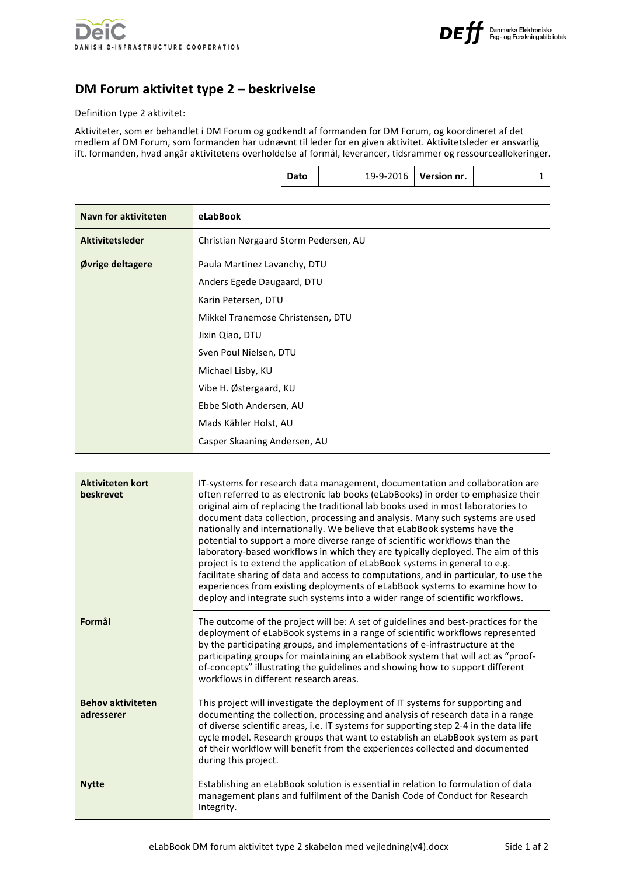

## **DM Forum aktivitet type 2 – beskrivelse**

Definition type 2 aktivitet:

Aktiviteter, som er behandlet i DM Forum og godkendt af formanden for DM Forum, og koordineret af det medlem af DM Forum, som formanden har udnævnt til leder for en given aktivitet. Aktivitetsleder er ansvarlig ift. formanden, hvad angår aktivitetens overholdelse af formål, leverancer, tidsrammer og ressourceallokeringer.

|  |  |  | 19-9-2016   Version nr. |  |
|--|--|--|-------------------------|--|
|--|--|--|-------------------------|--|

| Navn for aktiviteten | eLabBook                                                                                                                                                                                                                                      |
|----------------------|-----------------------------------------------------------------------------------------------------------------------------------------------------------------------------------------------------------------------------------------------|
| Aktivitetsleder      | Christian Nørgaard Storm Pedersen, AU                                                                                                                                                                                                         |
| Øvrige deltagere     | Paula Martinez Lavanchy, DTU<br>Anders Egede Daugaard, DTU<br>Karin Petersen, DTU<br>Mikkel Tranemose Christensen, DTU<br>Jixin Qiao, DTU<br>Sven Poul Nielsen, DTU<br>Michael Lisby, KU<br>Vibe H. Østergaard, KU<br>Ebbe Sloth Andersen, AU |
|                      | Mads Kähler Holst, AU<br>Casper Skaaning Andersen, AU                                                                                                                                                                                         |

| <b>Aktiviteten kort</b><br>beskrevet   | IT-systems for research data management, documentation and collaboration are<br>often referred to as electronic lab books (eLabBooks) in order to emphasize their<br>original aim of replacing the traditional lab books used in most laboratories to<br>document data collection, processing and analysis. Many such systems are used<br>nationally and internationally. We believe that eLabBook systems have the<br>potential to support a more diverse range of scientific workflows than the<br>laboratory-based workflows in which they are typically deployed. The aim of this<br>project is to extend the application of eLabBook systems in general to e.g.<br>facilitate sharing of data and access to computations, and in particular, to use the<br>experiences from existing deployments of eLabBook systems to examine how to<br>deploy and integrate such systems into a wider range of scientific workflows. |
|----------------------------------------|------------------------------------------------------------------------------------------------------------------------------------------------------------------------------------------------------------------------------------------------------------------------------------------------------------------------------------------------------------------------------------------------------------------------------------------------------------------------------------------------------------------------------------------------------------------------------------------------------------------------------------------------------------------------------------------------------------------------------------------------------------------------------------------------------------------------------------------------------------------------------------------------------------------------------|
| Formål                                 | The outcome of the project will be: A set of guidelines and best-practices for the<br>deployment of eLabBook systems in a range of scientific workflows represented<br>by the participating groups, and implementations of e-infrastructure at the<br>participating groups for maintaining an eLabBook system that will act as "proof-<br>of-concepts" illustrating the guidelines and showing how to support different<br>workflows in different research areas.                                                                                                                                                                                                                                                                                                                                                                                                                                                            |
| <b>Behov aktiviteten</b><br>adresserer | This project will investigate the deployment of IT systems for supporting and<br>documenting the collection, processing and analysis of research data in a range<br>of diverse scientific areas, i.e. IT systems for supporting step 2-4 in the data life<br>cycle model. Research groups that want to establish an eLabBook system as part<br>of their workflow will benefit from the experiences collected and documented<br>during this project.                                                                                                                                                                                                                                                                                                                                                                                                                                                                          |
| <b>Nytte</b>                           | Establishing an eLabBook solution is essential in relation to formulation of data<br>management plans and fulfilment of the Danish Code of Conduct for Research<br>Integrity.                                                                                                                                                                                                                                                                                                                                                                                                                                                                                                                                                                                                                                                                                                                                                |